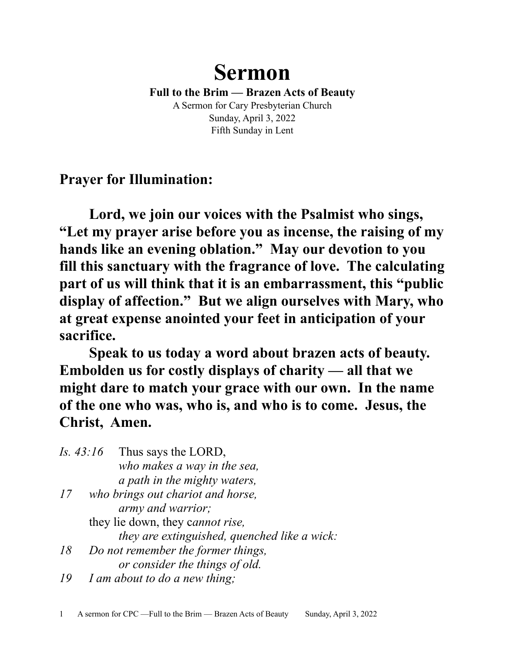# **Sermon**

**Full to the Brim — Brazen Acts of Beauty** A Sermon for Cary Presbyterian Church Sunday, April 3, 2022 Fifth Sunday in Lent

**Prayer for Illumination:**

**Lord, we join our voices with the Psalmist who sings, "Let my prayer arise before you as incense, the raising of my hands like an evening oblation." May our devotion to you fill this sanctuary with the fragrance of love. The calculating part of us will think that it is an embarrassment, this "public display of affection." But we align ourselves with Mary, who at great expense anointed your feet in anticipation of your sacrifice.**

**Speak to us today a word about brazen acts of beauty. Embolden us for costly displays of charity — all that we might dare to match your grace with our own. In the name of the one who was, who is, and who is to come. Jesus, the Christ, Amen.**

|    | Is. $43:16$ Thus says the LORD,              |
|----|----------------------------------------------|
|    | who makes a way in the sea,                  |
|    | a path in the mighty waters,                 |
| 17 | who brings out chariot and horse,            |
|    | <i>army and warrior;</i>                     |
|    | they lie down, they cannot rise,             |
|    | they are extinguished, quenched like a wick: |
| 18 | Do not remember the former things,           |
|    | or consider the things of old.               |

*19 I am about to do a new thing;*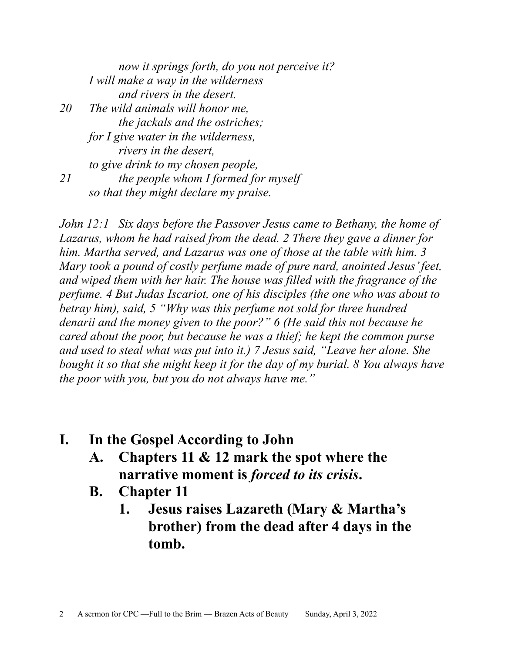*now it springs forth, do you not perceive it? I will make a way in the wilderness and rivers in the desert. 20 The wild animals will honor me, the jackals and the ostriches; for I give water in the wilderness, rivers in the desert, to give drink to my chosen people, 21 the people whom I formed for myself so that they might declare my praise.*

*John 12:1 Six days before the Passover Jesus came to Bethany, the home of Lazarus, whom he had raised from the dead. 2 There they gave a dinner for him. Martha served, and Lazarus was one of those at the table with him. 3 Mary took a pound of costly perfume made of pure nard, anointed Jesus' feet, and wiped them with her hair. The house was filled with the fragrance of the perfume. 4 But Judas Iscariot, one of his disciples (the one who was about to betray him), said, 5 "Why was this perfume not sold for three hundred denarii and the money given to the poor?" 6 (He said this not because he cared about the poor, but because he was a thief; he kept the common purse and used to steal what was put into it.) 7 Jesus said, "Leave her alone. She bought it so that she might keep it for the day of my burial. 8 You always have the poor with you, but you do not always have me."*

- **I. In the Gospel According to John** 
	- **A. Chapters 11 & 12 mark the spot where the narrative moment is** *forced to its crisis***.**
	- **B. Chapter 11**
		- **1. Jesus raises Lazareth (Mary & Martha's brother) from the dead after 4 days in the tomb.**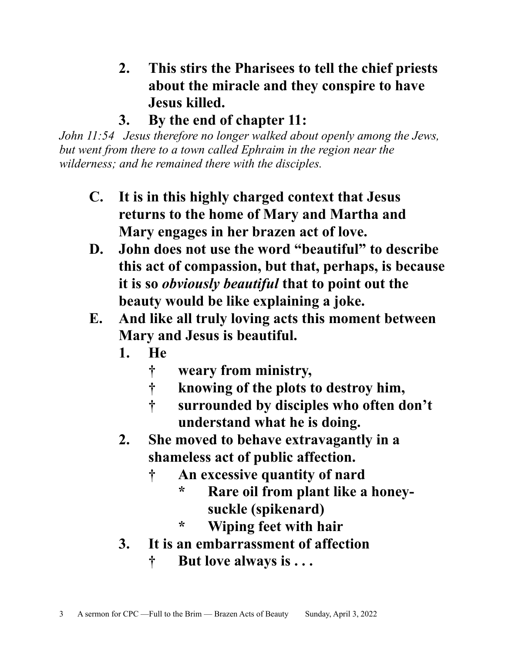- **2. This stirs the Pharisees to tell the chief priests about the miracle and they conspire to have Jesus killed.**
- **3. By the end of chapter 11:**

*John 11:54 Jesus therefore no longer walked about openly among the Jews, but went from there to a town called Ephraim in the region near the wilderness; and he remained there with the disciples.*

- **C. It is in this highly charged context that Jesus returns to the home of Mary and Martha and Mary engages in her brazen act of love.**
- **D. John does not use the word "beautiful" to describe this act of compassion, but that, perhaps, is because it is so** *obviously beautiful* **that to point out the beauty would be like explaining a joke.**
- **E. And like all truly loving acts this moment between Mary and Jesus is beautiful.**
	- **1. He** 
		- **† weary from ministry,**
		- **† knowing of the plots to destroy him,**
		- **† surrounded by disciples who often don't understand what he is doing.**
	- **2. She moved to behave extravagantly in a shameless act of public affection.**
		- **† An excessive quantity of nard**
			- **\* Rare oil from plant like a honeysuckle (spikenard)**
			- **\* Wiping feet with hair**
	- **3. It is an embarrassment of affection**
		- **† But love always is . . .**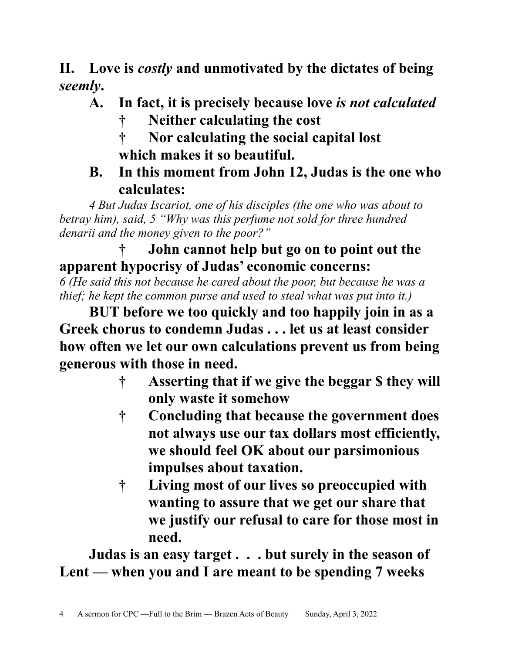**II. Love is** *costly* **and unmotivated by the dictates of being**  *seemly***.**

- **A. In fact, it is precisely because love** *is not calculated*
	- **† Neither calculating the cost**
	- **† Nor calculating the social capital lost which makes it so beautiful.**
- **B. In this moment from John 12, Judas is the one who calculates:**

*4 But Judas Iscariot, one of his disciples (the one who was about to betray him), said, 5 "Why was this perfume not sold for three hundred denarii and the money given to the poor?"*

#### **† John cannot help but go on to point out the apparent hypocrisy of Judas' economic concerns:**

*6 (He said this not because he cared about the poor, but because he was a thief; he kept the common purse and used to steal what was put into it.)*

**BUT before we too quickly and too happily join in as a Greek chorus to condemn Judas . . . let us at least consider how often we let our own calculations prevent us from being generous with those in need.**

- **† Asserting that if we give the beggar \$ they will only waste it somehow**
- **† Concluding that because the government does not always use our tax dollars most efficiently, we should feel OK about our parsimonious impulses about taxation.**
- **† Living most of our lives so preoccupied with wanting to assure that we get our share that we justify our refusal to care for those most in need.**

**Judas is an easy target . . . but surely in the season of Lent — when you and I are meant to be spending 7 weeks**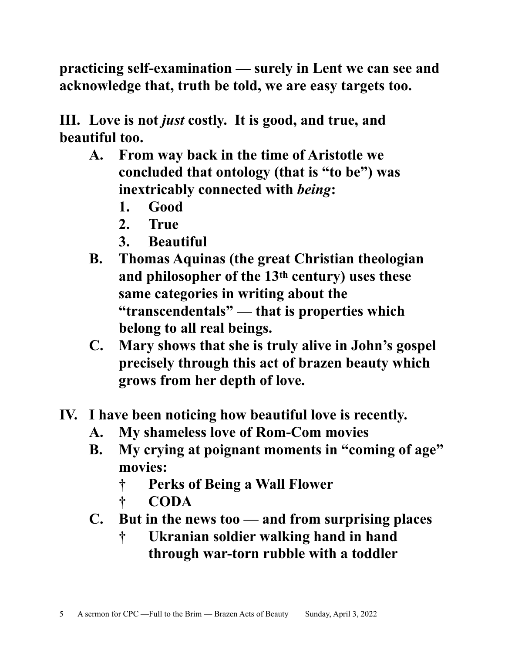**practicing self-examination — surely in Lent we can see and acknowledge that, truth be told, we are easy targets too.**

**III. Love is not** *just* **costly. It is good, and true, and beautiful too.**

- **A. From way back in the time of Aristotle we concluded that ontology (that is "to be") was inextricably connected with** *being***:**
	- **1. Good**
	- **2. True**
	- **3. Beautiful**
- **B. Thomas Aquinas (the great Christian theologian and philosopher of the 13th century) uses these same categories in writing about the "transcendentals" — that is properties which belong to all real beings.**
- **C. Mary shows that she is truly alive in John's gospel precisely through this act of brazen beauty which grows from her depth of love.**
- **IV. I have been noticing how beautiful love is recently.**
	- **A. My shameless love of Rom-Com movies**
	- **B. My crying at poignant moments in "coming of age" movies:**
		- **† Perks of Being a Wall Flower**
		- **† CODA**
	- **C. But in the news too and from surprising places**
		- **† Ukranian soldier walking hand in hand through war-torn rubble with a toddler**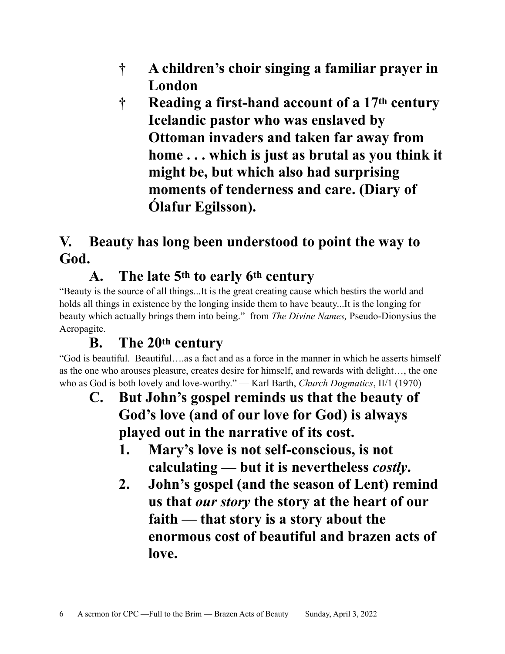- **† A children's choir singing a familiar prayer in London**
- **† Reading a first-hand account of a 17th century Icelandic pastor who was enslaved by Ottoman invaders and taken far away from home . . . which is just as brutal as you think it might be, but which also had surprising moments of tenderness and care. (Diary of Ólafur Egilsson).**

#### **V. Beauty has long been understood to point the way to God.**

### **A. The late 5th to early 6th century**

"Beauty is the source of all things...It is the great creating cause which bestirs the world and holds all things in existence by the longing inside them to have beauty...It is the longing for beauty which actually brings them into being." from *The Divine Names,* Pseudo-Dionysius the Aeropagite.

## **B. The 20th century**

"God is beautiful. Beautiful….as a fact and as a force in the manner in which he asserts himself as the one who arouses pleasure, creates desire for himself, and rewards with delight…, the one who as God is both lovely and love-worthy." — Karl Barth, *Church Dogmatics*, II/1 (1970)

- **C. But John's gospel reminds us that the beauty of God's love (and of our love for God) is always played out in the narrative of its cost.**
	- **1. Mary's love is not self-conscious, is not calculating — but it is nevertheless** *costly***.**
	- **2. John's gospel (and the season of Lent) remind us that** *our story* **the story at the heart of our faith — that story is a story about the enormous cost of beautiful and brazen acts of love.**